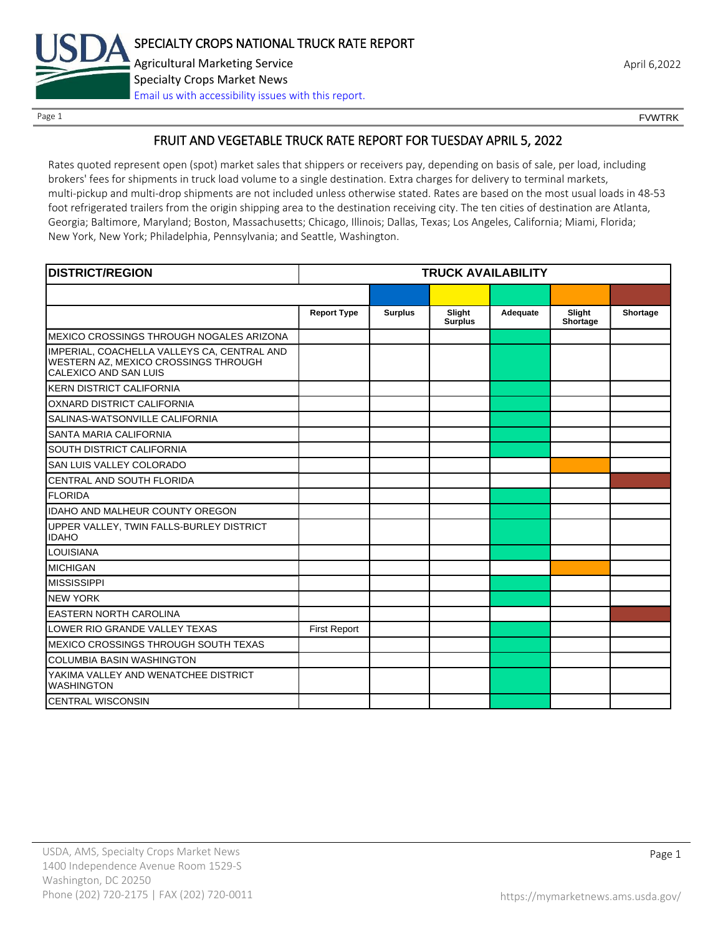

Page 1 FOUNTRK CONTROL CONTROL CONTROL CONTROL CONTROL CONTROL CONTROL CONTROL CONTROL CONTROL CONTROL CONTROL CONTROL CONTROL CONTROL CONTROL CONTROL CONTROL CONTROL CONTROL CONTROL CONTROL CONTROL CONTROL CONTROL CONTROL

# FRUIT AND VEGETABLE TRUCK RATE REPORT FOR TUESDAY APRIL 5, 2022

Rates quoted represent open (spot) market sales that shippers or receivers pay, depending on basis of sale, per load, including brokers' fees for shipments in truck load volume to a single destination. Extra charges for delivery to terminal markets, multi-pickup and multi-drop shipments are not included unless otherwise stated. Rates are based on the most usual loads in 48-53 foot refrigerated trailers from the origin shipping area to the destination receiving city. The ten cities of destination are Atlanta, Georgia; Baltimore, Maryland; Boston, Massachusetts; Chicago, Illinois; Dallas, Texas; Los Angeles, California; Miami, Florida; New York, New York; Philadelphia, Pennsylvania; and Seattle, Washington.

| <b>DISTRICT/REGION</b>                                                                                       | <b>TRUCK AVAILABILITY</b> |                |                          |          |                    |          |
|--------------------------------------------------------------------------------------------------------------|---------------------------|----------------|--------------------------|----------|--------------------|----------|
|                                                                                                              |                           |                |                          |          |                    |          |
|                                                                                                              | <b>Report Type</b>        | <b>Surplus</b> | Slight<br><b>Surplus</b> | Adequate | Slight<br>Shortage | Shortage |
| MEXICO CROSSINGS THROUGH NOGALES ARIZONA                                                                     |                           |                |                          |          |                    |          |
| IMPERIAL, COACHELLA VALLEYS CA, CENTRAL AND<br>WESTERN AZ, MEXICO CROSSINGS THROUGH<br>CALEXICO AND SAN LUIS |                           |                |                          |          |                    |          |
| <b>KERN DISTRICT CALIFORNIA</b>                                                                              |                           |                |                          |          |                    |          |
| OXNARD DISTRICT CALIFORNIA                                                                                   |                           |                |                          |          |                    |          |
| SALINAS-WATSONVILLE CALIFORNIA                                                                               |                           |                |                          |          |                    |          |
| SANTA MARIA CALIFORNIA                                                                                       |                           |                |                          |          |                    |          |
| SOUTH DISTRICT CALIFORNIA                                                                                    |                           |                |                          |          |                    |          |
| SAN LUIS VALLEY COLORADO                                                                                     |                           |                |                          |          |                    |          |
| CENTRAL AND SOUTH FLORIDA                                                                                    |                           |                |                          |          |                    |          |
| <b>FLORIDA</b>                                                                                               |                           |                |                          |          |                    |          |
| <b>IDAHO AND MALHEUR COUNTY OREGON</b>                                                                       |                           |                |                          |          |                    |          |
| UPPER VALLEY, TWIN FALLS-BURLEY DISTRICT<br><b>IDAHO</b>                                                     |                           |                |                          |          |                    |          |
| <b>LOUISIANA</b>                                                                                             |                           |                |                          |          |                    |          |
| <b>MICHIGAN</b>                                                                                              |                           |                |                          |          |                    |          |
| <b>MISSISSIPPI</b>                                                                                           |                           |                |                          |          |                    |          |
| <b>NEW YORK</b>                                                                                              |                           |                |                          |          |                    |          |
| <b>EASTERN NORTH CAROLINA</b>                                                                                |                           |                |                          |          |                    |          |
| LOWER RIO GRANDE VALLEY TEXAS                                                                                | <b>First Report</b>       |                |                          |          |                    |          |
| MEXICO CROSSINGS THROUGH SOUTH TEXAS                                                                         |                           |                |                          |          |                    |          |
| <b>COLUMBIA BASIN WASHINGTON</b>                                                                             |                           |                |                          |          |                    |          |
| YAKIMA VALLEY AND WENATCHEE DISTRICT<br><b>WASHINGTON</b>                                                    |                           |                |                          |          |                    |          |
| <b>CENTRAL WISCONSIN</b>                                                                                     |                           |                |                          |          |                    |          |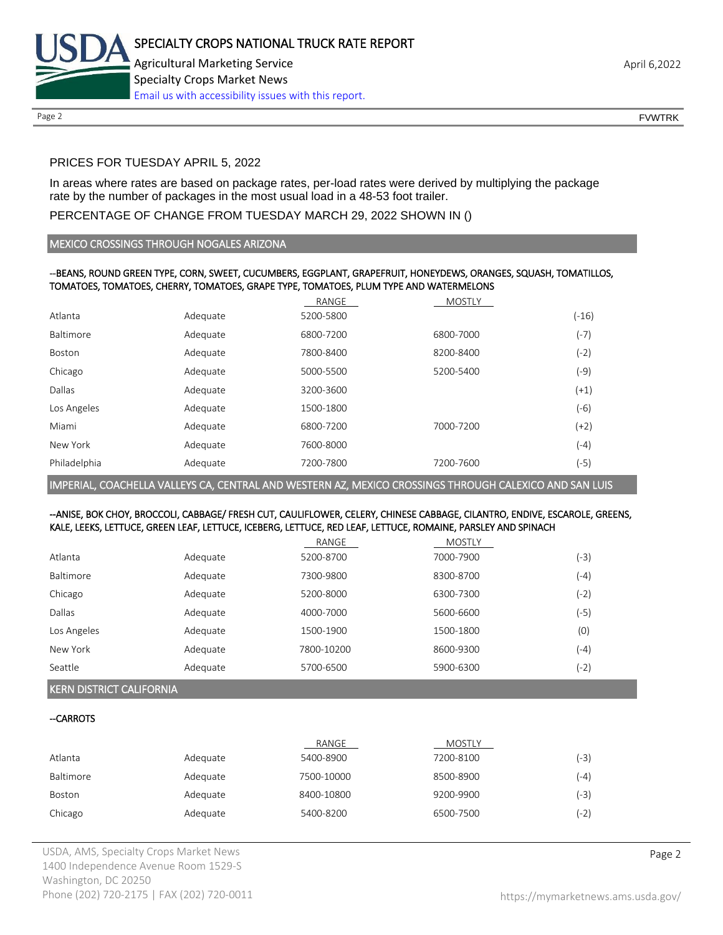

# PRICES FOR TUESDAY APRIL 5, 2022

In areas where rates are based on package rates, per-load rates were derived by multiplying the package rate by the number of packages in the most usual load in a 48-53 foot trailer.

### PERCENTAGE OF CHANGE FROM TUESDAY MARCH 29, 2022 SHOWN IN ()

#### MEXICO CROSSINGS THROUGH NOGALES ARIZONA

#### --BEANS, ROUND GREEN TYPE, CORN, SWEET, CUCUMBERS, EGGPLANT, GRAPEFRUIT, HONEYDEWS, ORANGES, SQUASH, TOMATILLOS, TOMATOES, TOMATOES, CHERRY, TOMATOES, GRAPE TYPE, TOMATOES, PLUM TYPE AND WATERMELONS

|              |          | RANGE     | <b>MOSTLY</b> |         |
|--------------|----------|-----------|---------------|---------|
| Atlanta      | Adequate | 5200-5800 |               | $(-16)$ |
| Baltimore    | Adequate | 6800-7200 | 6800-7000     | $(-7)$  |
| Boston       | Adequate | 7800-8400 | 8200-8400     | (-2)    |
| Chicago      | Adequate | 5000-5500 | 5200-5400     | (-9)    |
| Dallas       | Adequate | 3200-3600 |               | $(+1)$  |
| Los Angeles  | Adequate | 1500-1800 |               | $(-6)$  |
| Miami        | Adequate | 6800-7200 | 7000-7200     | $(+2)$  |
| New York     | Adequate | 7600-8000 |               | $(-4)$  |
| Philadelphia | Adequate | 7200-7800 | 7200-7600     | (-5)    |

IMPERIAL, COACHELLA VALLEYS CA, CENTRAL AND WESTERN AZ, MEXICO CROSSINGS THROUGH CALEXICO AND SAN LUIS

#### --ANISE, BOK CHOY, BROCCOLI, CABBAGE/ FRESH CUT, CAULIFLOWER, CELERY, CHINESE CABBAGE, CILANTRO, ENDIVE, ESCAROLE, GREENS, KALE, LEEKS, LETTUCE, GREEN LEAF, LETTUCE, ICEBERG, LETTUCE, RED LEAF, LETTUCE, ROMAINE, PARSLEY AND SPINACH

|             |          | RANGE      | <b>MOSTLY</b> |        |
|-------------|----------|------------|---------------|--------|
| Atlanta     | Adequate | 5200-8700  | 7000-7900     | (-3)   |
| Baltimore   | Adequate | 7300-9800  | 8300-8700     | $(-4)$ |
| Chicago     | Adequate | 5200-8000  | 6300-7300     | (-2)   |
| Dallas      | Adequate | 4000-7000  | 5600-6600     | (-5)   |
| Los Angeles | Adequate | 1500-1900  | 1500-1800     | (0)    |
| New York    | Adequate | 7800-10200 | 8600-9300     | $(-4)$ |
| Seattle     | Adequate | 5700-6500  | 5900-6300     | (-2)   |

#### KERN DISTRICT CALIFORNIA

## --CARROTS

|           |          | RANGE      | <b>MOSTLY</b> |        |
|-----------|----------|------------|---------------|--------|
| Atlanta   | Adequate | 5400-8900  | 7200-8100     | (-3)   |
| Baltimore | Adequate | 7500-10000 | 8500-8900     | $(-4)$ |
| Boston    | Adequate | 8400-10800 | 9200-9900     | (-3)   |
| Chicago   | Adequate | 5400-8200  | 6500-7500     | $(-2)$ |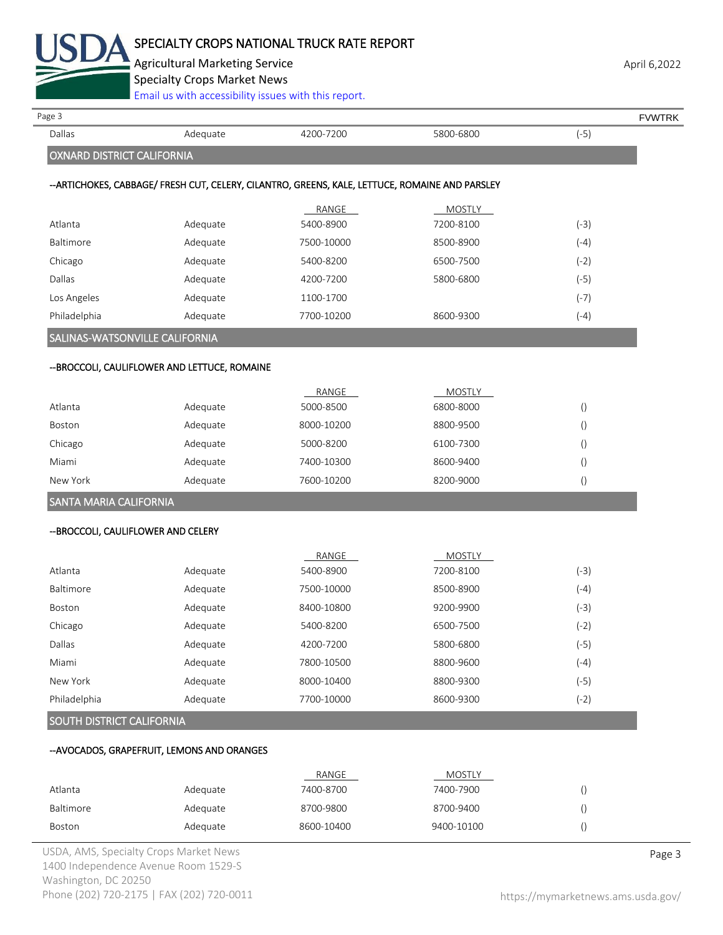

Agricultural Marketing Service **April 6,2022** April 6,2022

Specialty Crops Market News

[Email us with accessibility issues with this report.](mailto:mars@ams.usda.gov?subject=508%20Inquiry/Report)

| Page 3                              |                                               |                                                                                                 |               | <b>FVWTRK</b>    |
|-------------------------------------|-----------------------------------------------|-------------------------------------------------------------------------------------------------|---------------|------------------|
| Dallas                              | Adequate                                      | 4200-7200                                                                                       | 5800-6800     | $(-5)$           |
| <b>OXNARD DISTRICT CALIFORNIA</b>   |                                               |                                                                                                 |               |                  |
|                                     |                                               | -- ARTICHOKES, CABBAGE/ FRESH CUT, CELERY, CILANTRO, GREENS, KALE, LETTUCE, ROMAINE AND PARSLEY |               |                  |
|                                     |                                               | RANGE                                                                                           | MOSTLY        |                  |
| Atlanta                             | Adequate                                      | 5400-8900                                                                                       | 7200-8100     | $(-3)$           |
| <b>Baltimore</b>                    | Adequate                                      | 7500-10000                                                                                      | 8500-8900     | $(-4)$           |
| Chicago                             | Adequate                                      | 5400-8200                                                                                       | 6500-7500     | $(-2)$           |
| Dallas                              | Adequate                                      | 4200-7200                                                                                       | 5800-6800     | $(-5)$           |
| Los Angeles                         | Adequate                                      | 1100-1700                                                                                       |               | $(-7)$           |
| Philadelphia                        | Adequate                                      | 7700-10200                                                                                      | 8600-9300     | $(-4)$           |
| SALINAS-WATSONVILLE CALIFORNIA      |                                               |                                                                                                 |               |                  |
|                                     | -- BROCCOLI, CAULIFLOWER AND LETTUCE, ROMAINE |                                                                                                 |               |                  |
|                                     |                                               | RANGE                                                                                           | <b>MOSTLY</b> |                  |
| Atlanta                             | Adequate                                      | 5000-8500                                                                                       | 6800-8000     | $\left( \right)$ |
| Boston                              | Adequate                                      | 8000-10200                                                                                      | 8800-9500     | $\left(\right)$  |
| Chicago                             | Adequate                                      | 5000-8200                                                                                       | 6100-7300     | $\left( \right)$ |
| Miami                               | Adequate                                      | 7400-10300                                                                                      | 8600-9400     | $\left(\right)$  |
| New York                            | Adequate                                      | 7600-10200                                                                                      | 8200-9000     | $\left(\right)$  |
| SANTA MARIA CALIFORNIA              |                                               |                                                                                                 |               |                  |
| -- BROCCOLI, CAULIFLOWER AND CELERY |                                               |                                                                                                 |               |                  |
|                                     |                                               | RANGE                                                                                           | <b>MOSTLY</b> |                  |
| Atlanta                             | Adequate                                      | 5400-8900                                                                                       | 7200-8100     | $(-3)$           |
| Baltimore                           | Adequate                                      | 7500-10000                                                                                      | 8500-8900     | $(-4)$           |
| Boston                              | Adequate                                      | 8400-10800                                                                                      | 9200-9900     | $(-3)$           |
| Chicago                             | Adequate                                      | 5400-8200                                                                                       | 6500-7500     | $(-2)$           |
| Dallas                              | Adequate                                      | 4200-7200                                                                                       | 5800-6800     | $(-5)$           |
| Miami                               | Adequate                                      | 7800-10500                                                                                      | 8800-9600     | $(-4)$           |
| New York                            | Adequate                                      | 8000-10400                                                                                      | 8800-9300     | $(-5)$           |
| Philadelphia                        | Adequate                                      | 7700-10000                                                                                      | 8600-9300     | $(-2)$           |
| SOUTH DISTRICT CALIFORNIA           |                                               |                                                                                                 |               |                  |
|                                     | --AVOCADOS, GRAPEFRUIT, LEMONS AND ORANGES    |                                                                                                 |               |                  |
|                                     |                                               | RANGE                                                                                           | <b>MOSTLY</b> |                  |
| Atlanta                             | Adequate                                      | 7400-8700                                                                                       | 7400-7900     | $\left( \right)$ |
| Baltimore                           | Adequate                                      | 8700-9800                                                                                       | 8700-9400     | $\left( \right)$ |

Boston Adequate 8600-10400 9400-10100 ()

USDA, AMS, Specialty Crops Market News **Page 3** 1400 Independence Avenue Room 1529-S Washington, DC 20250 Phone (202) 720-2175 | FAX (202) 720-0011 <https://mymarketnews.ams.usda.gov/>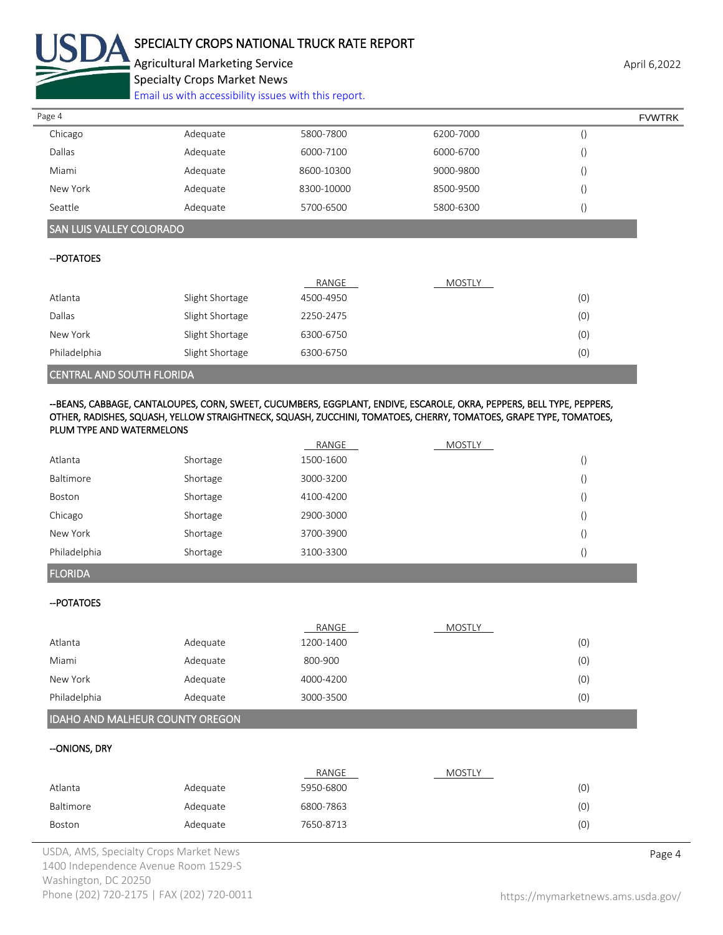

# SPECIALTY CROPS NATIONAL TRUCK RATE REPORT

Agricultural Marketing Service **April 6,2022** April 6,2022 Specialty Crops Market News

[Email us with accessibility issues with this report.](mailto:mars@ams.usda.gov?subject=508%20Inquiry/Report)

| Page 4   |          |            |           | <b>FVWTRK</b> |
|----------|----------|------------|-----------|---------------|
| Chicago  | Adequate | 5800-7800  | 6200-7000 |               |
| Dallas   | Adequate | 6000-7100  | 6000-6700 |               |
| Miami    | Adequate | 8600-10300 | 9000-9800 |               |
| New York | Adequate | 8300-10000 | 8500-9500 |               |
| Seattle  | Adequate | 5700-6500  | 5800-6300 |               |

# SAN LUIS VALLEY COLORADO

#### --POTATOES

|              |                 | RANGE     | <b>MOSTLY</b> |     |
|--------------|-----------------|-----------|---------------|-----|
| Atlanta      | Slight Shortage | 4500-4950 |               | (0) |
| Dallas       | Slight Shortage | 2250-2475 |               | (0) |
| New York     | Slight Shortage | 6300-6750 |               | (0) |
| Philadelphia | Slight Shortage | 6300-6750 |               | (0) |
|              |                 |           |               |     |

#### CENTRAL AND SOUTH FLORIDA

#### --BEANS, CABBAGE, CANTALOUPES, CORN, SWEET, CUCUMBERS, EGGPLANT, ENDIVE, ESCAROLE, OKRA, PEPPERS, BELL TYPE, PEPPERS, OTHER, RADISHES, SQUASH, YELLOW STRAIGHTNECK, SQUASH, ZUCCHINI, TOMATOES, CHERRY, TOMATOES, GRAPE TYPE, TOMATOES, PLUM TYPE AND WATERMELONS

|              |          | RANGE     | <b>MOSTLY</b> |                  |
|--------------|----------|-----------|---------------|------------------|
| Atlanta      | Shortage | 1500-1600 |               |                  |
| Baltimore    | Shortage | 3000-3200 |               | $\left( \right)$ |
| Boston       | Shortage | 4100-4200 |               | $\left( \right)$ |
| Chicago      | Shortage | 2900-3000 |               |                  |
| New York     | Shortage | 3700-3900 |               |                  |
| Philadelphia | Shortage | 3100-3300 |               |                  |

# FLORIDA

## --POTATOES

|              |          | RANGE     | <b>MOSTLY</b> |     |
|--------------|----------|-----------|---------------|-----|
| Atlanta      | Adequate | 1200-1400 |               | (0) |
| Miami        | Adequate | 800-900   |               | (0) |
| New York     | Adequate | 4000-4200 |               | (0) |
| Philadelphia | Adequate | 3000-3500 |               | (0) |

## IDAHO AND MALHEUR COUNTY OREGON

#### --ONIONS, DRY

|           |          | RANGE     | <b>MOSTLY</b> |     |
|-----------|----------|-----------|---------------|-----|
| Atlanta   | Adequate | 5950-6800 |               | (0) |
| Baltimore | Adequate | 6800-7863 |               | (0) |
| Boston    | Adequate | 7650-8713 |               | (0) |

USDA, AMS, Specialty Crops Market News **Page 4** 1400 Independence Avenue Room 1529-S Washington, DC 20250 Phone (202) 720-2175 | FAX (202) 720-0011 <https://mymarketnews.ams.usda.gov/>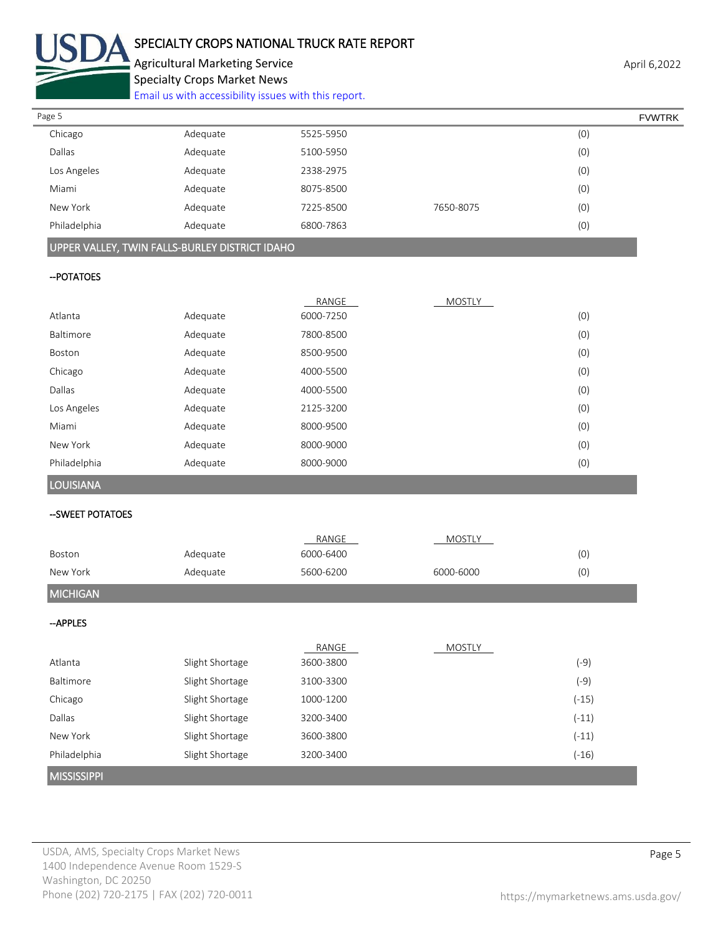

# SPECIALTY CROPS NATIONAL TRUCK RATE REPORT

Agricultural Marketing Service **April 6,2022** April 6,2022 Specialty Crops Market News

[Email us with accessibility issues with this report.](mailto:mars@ams.usda.gov?subject=508%20Inquiry/Report)

| Page 5       |          |           |           | <b>FVWTRK</b> |  |
|--------------|----------|-----------|-----------|---------------|--|
| Chicago      | Adequate | 5525-5950 |           | (0)           |  |
| Dallas       | Adequate | 5100-5950 |           | (0)           |  |
| Los Angeles  | Adequate | 2338-2975 |           | (0)           |  |
| Miami        | Adequate | 8075-8500 |           | (0)           |  |
| New York     | Adequate | 7225-8500 | 7650-8075 | (0)           |  |
| Philadelphia | Adequate | 6800-7863 |           | (0)           |  |
|              |          |           |           |               |  |

# UPPER VALLEY, TWIN FALLS-BURLEY DISTRICT IDAHO

## --POTATOES

|                  |          | RANGE     | <b>MOSTLY</b> |     |
|------------------|----------|-----------|---------------|-----|
| Atlanta          | Adequate | 6000-7250 |               | (0) |
| Baltimore        | Adequate | 7800-8500 |               | (0) |
| Boston           | Adequate | 8500-9500 |               | (0) |
| Chicago          | Adequate | 4000-5500 |               | (0) |
| Dallas           | Adequate | 4000-5500 |               | (0) |
| Los Angeles      | Adequate | 2125-3200 |               | (0) |
| Miami            | Adequate | 8000-9500 |               | (0) |
| New York         | Adequate | 8000-9000 |               | (0) |
| Philadelphia     | Adequate | 8000-9000 |               | (0) |
| <b>LOUISIANA</b> |          |           |               |     |

## --SWEET POTATOES

|                    |                 | RANGE     | <b>MOSTLY</b> |         |
|--------------------|-----------------|-----------|---------------|---------|
| Boston             | Adequate        | 6000-6400 |               | (0)     |
| New York           | Adequate        | 5600-6200 | 6000-6000     | (0)     |
| <b>MICHIGAN</b>    |                 |           |               |         |
| -APPLES            |                 |           |               |         |
|                    |                 | RANGE     | <b>MOSTLY</b> |         |
| Atlanta            | Slight Shortage | 3600-3800 |               | $(-9)$  |
| Baltimore          | Slight Shortage | 3100-3300 |               | $(-9)$  |
| Chicago            | Slight Shortage | 1000-1200 |               | $(-15)$ |
| Dallas             | Slight Shortage | 3200-3400 |               | $(-11)$ |
| New York           | Slight Shortage | 3600-3800 |               | $(-11)$ |
| Philadelphia       | Slight Shortage | 3200-3400 |               | $(-16)$ |
| <b>MISSISSIPPI</b> |                 |           |               |         |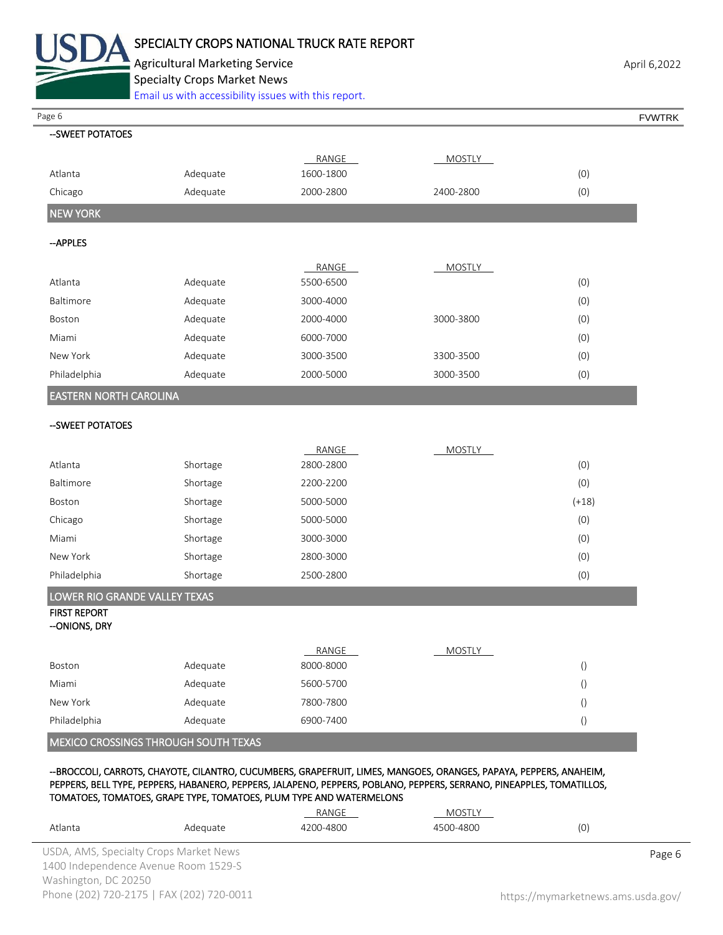

Agricultural Marketing Service **April 6,2022** April 6,2022 Specialty Crops Market News

[Email us with accessibility issues with this report.](mailto:mars@ams.usda.gov?subject=508%20Inquiry/Report)

Page 6 FVWTRK

| --SWEET POTATOES                                                                                                  |          |           |               |                  |  |  |
|-------------------------------------------------------------------------------------------------------------------|----------|-----------|---------------|------------------|--|--|
|                                                                                                                   |          | RANGE     | <b>MOSTLY</b> |                  |  |  |
| Atlanta                                                                                                           | Adequate | 1600-1800 |               | (0)              |  |  |
| Chicago                                                                                                           | Adequate | 2000-2800 | 2400-2800     | (0)              |  |  |
| <b>NEW YORK</b>                                                                                                   |          |           |               |                  |  |  |
| -- APPLES                                                                                                         |          |           |               |                  |  |  |
|                                                                                                                   |          | RANGE     | <b>MOSTLY</b> |                  |  |  |
| Atlanta                                                                                                           | Adequate | 5500-6500 |               | (0)              |  |  |
| Baltimore                                                                                                         | Adequate | 3000-4000 |               | (0)              |  |  |
| Boston                                                                                                            | Adequate | 2000-4000 | 3000-3800     | (0)              |  |  |
| Miami                                                                                                             | Adequate | 6000-7000 |               | (0)              |  |  |
| New York                                                                                                          | Adequate | 3000-3500 | 3300-3500     | (0)              |  |  |
| Philadelphia                                                                                                      | Adequate | 2000-5000 | 3000-3500     | (0)              |  |  |
| EASTERN NORTH CAROLINA                                                                                            |          |           |               |                  |  |  |
| -- SWEET POTATOES                                                                                                 |          |           |               |                  |  |  |
|                                                                                                                   |          | RANGE     | <b>MOSTLY</b> |                  |  |  |
| Atlanta                                                                                                           | Shortage | 2800-2800 |               | (0)              |  |  |
| Baltimore                                                                                                         | Shortage | 2200-2200 |               | (0)              |  |  |
| Boston                                                                                                            | Shortage | 5000-5000 |               | $(+18)$          |  |  |
| Chicago                                                                                                           | Shortage | 5000-5000 |               | (0)              |  |  |
| Miami                                                                                                             | Shortage | 3000-3000 |               | (0)              |  |  |
| New York                                                                                                          | Shortage | 2800-3000 |               | (0)              |  |  |
| Philadelphia                                                                                                      | Shortage | 2500-2800 |               | (0)              |  |  |
| LOWER RIO GRANDE VALLEY TEXAS                                                                                     |          |           |               |                  |  |  |
| <b>FIRST REPORT</b><br>--ONIONS, DRY                                                                              |          |           |               |                  |  |  |
|                                                                                                                   |          | RANGE     | <b>MOSTLY</b> |                  |  |  |
| Boston                                                                                                            | Adequate | 8000-8000 |               | $\left( \right)$ |  |  |
| Miami                                                                                                             | Adequate | 5600-5700 |               | $\left( \right)$ |  |  |
| New York                                                                                                          | Adequate | 7800-7800 |               | $\left( \right)$ |  |  |
| Philadelphia                                                                                                      | Adequate | 6900-7400 |               | $\left( \right)$ |  |  |
| MEXICO CROSSINGS THROUGH SOUTH TEXAS                                                                              |          |           |               |                  |  |  |
| --BROCCOLI, CARROTS, CHAYOTE, CILANTRO, CUCUMBERS, GRAPEFRUIT, LIMES, MANGOES, ORANGES, PAPAYA, PEPPERS, ANAHEIM, |          |           |               |                  |  |  |

PEPPERS, BELL TYPE, PEPPERS, HABANERO, PEPPERS, JALAPENO, PEPPERS, POBLANO, PEPPERS, SERRANO, PINEAPPLES, TOMATILLOS, TOMATOES, TOMATOES, GRAPE TYPE, TOMATOES, PLUM TYPE AND WATERMELONS

|                      |                                           | RANGE     | MOSTLY    |                                    |
|----------------------|-------------------------------------------|-----------|-----------|------------------------------------|
| Atlanta              | Adequate                                  | 4200-4800 | 4500-4800 | (0)                                |
|                      | USDA, AMS, Specialty Crops Market News    |           |           | Page 6                             |
|                      | 1400 Independence Avenue Room 1529-S      |           |           |                                    |
| Washington, DC 20250 |                                           |           |           |                                    |
|                      | Phone (202) 720-2175   FAX (202) 720-0011 |           |           | https://mymarketnews.ams.usda.gov/ |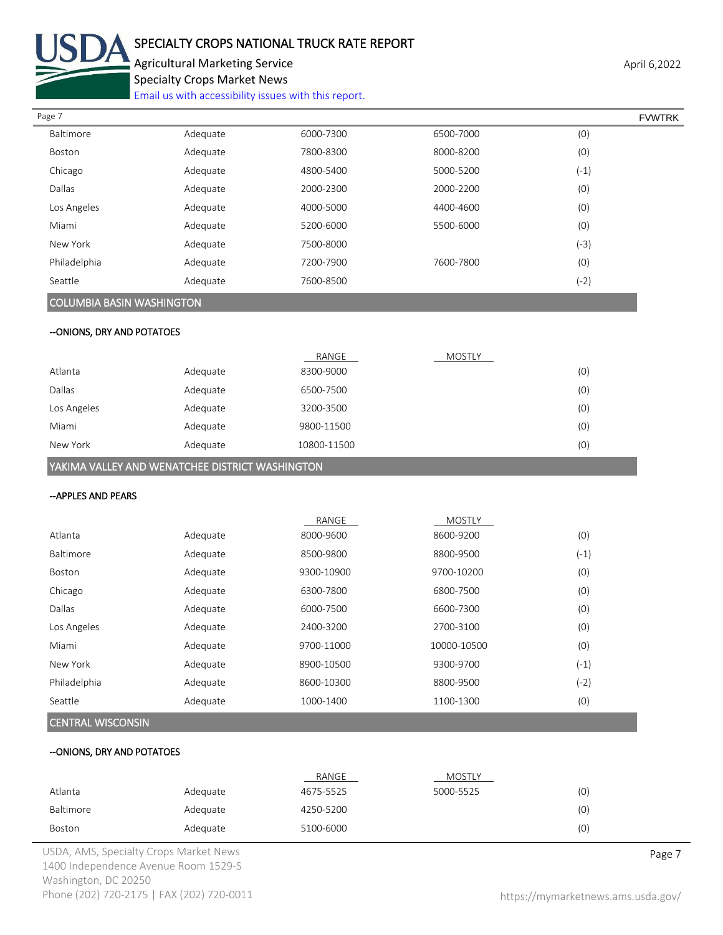

# SPECIALTY CROPS NATIONAL TRUCK RATE REPORT

Agricultural Marketing Service **April 6,2022** April 6,2022 Specialty Crops Market News

[Email us with accessibility issues with this report.](mailto:mars@ams.usda.gov?subject=508%20Inquiry/Report)

| Page 7       |          |           |           |        | <b>FVWTRK</b> |
|--------------|----------|-----------|-----------|--------|---------------|
| Baltimore    | Adequate | 6000-7300 | 6500-7000 | (0)    |               |
| Boston       | Adequate | 7800-8300 | 8000-8200 | (0)    |               |
| Chicago      | Adequate | 4800-5400 | 5000-5200 | $(-1)$ |               |
| Dallas       | Adequate | 2000-2300 | 2000-2200 | (0)    |               |
| Los Angeles  | Adequate | 4000-5000 | 4400-4600 | (0)    |               |
| Miami        | Adequate | 5200-6000 | 5500-6000 | (0)    |               |
| New York     | Adequate | 7500-8000 |           | (-3)   |               |
| Philadelphia | Adequate | 7200-7900 | 7600-7800 | (0)    |               |
| Seattle      | Adequate | 7600-8500 |           | $(-2)$ |               |
|              |          |           |           |        |               |

# COLUMBIA BASIN WASHINGTON

# --ONIONS, DRY AND POTATOES

|             |          | RANGE       | <b>MOSTLY</b> |     |
|-------------|----------|-------------|---------------|-----|
| Atlanta     | Adequate | 8300-9000   |               | (0) |
| Dallas      | Adequate | 6500-7500   |               | (0) |
| Los Angeles | Adequate | 3200-3500   |               | (0) |
| Miami       | Adequate | 9800-11500  |               | (0) |
| New York    | Adequate | 10800-11500 |               | (0) |

YAKIMA VALLEY AND WENATCHEE DISTRICT WASHINGTON

### --APPLES AND PEARS

|          | RANGE      | <b>MOSTLY</b> |        |
|----------|------------|---------------|--------|
| Adequate | 8000-9600  | 8600-9200     | (0)    |
| Adequate | 8500-9800  | 8800-9500     | $(-1)$ |
| Adequate | 9300-10900 | 9700-10200    | (0)    |
| Adequate | 6300-7800  | 6800-7500     | (0)    |
| Adequate | 6000-7500  | 6600-7300     | (0)    |
| Adequate | 2400-3200  | 2700-3100     | (0)    |
| Adequate | 9700-11000 | 10000-10500   | (0)    |
| Adequate | 8900-10500 | 9300-9700     | $(-1)$ |
| Adequate | 8600-10300 | 8800-9500     | (-2)   |
| Adequate | 1000-1400  | 1100-1300     | (0)    |
|          |            |               |        |

# CENTRAL WISCONSIN

#### --ONIONS, DRY AND POTATOES

|           |          | RANGE     | MOSTLY    |     |
|-----------|----------|-----------|-----------|-----|
| Atlanta   | Adequate | 4675-5525 | 5000-5525 | (0) |
| Baltimore | Adequate | 4250-5200 |           | (0) |
| Boston    | Adequate | 5100-6000 |           | (0) |

USDA, AMS, Specialty Crops Market News **Page 7** 1400 Independence Avenue Room 1529-S Washington, DC 20250 Phone (202) 720-2175 | FAX (202) 720-0011 <https://mymarketnews.ams.usda.gov/>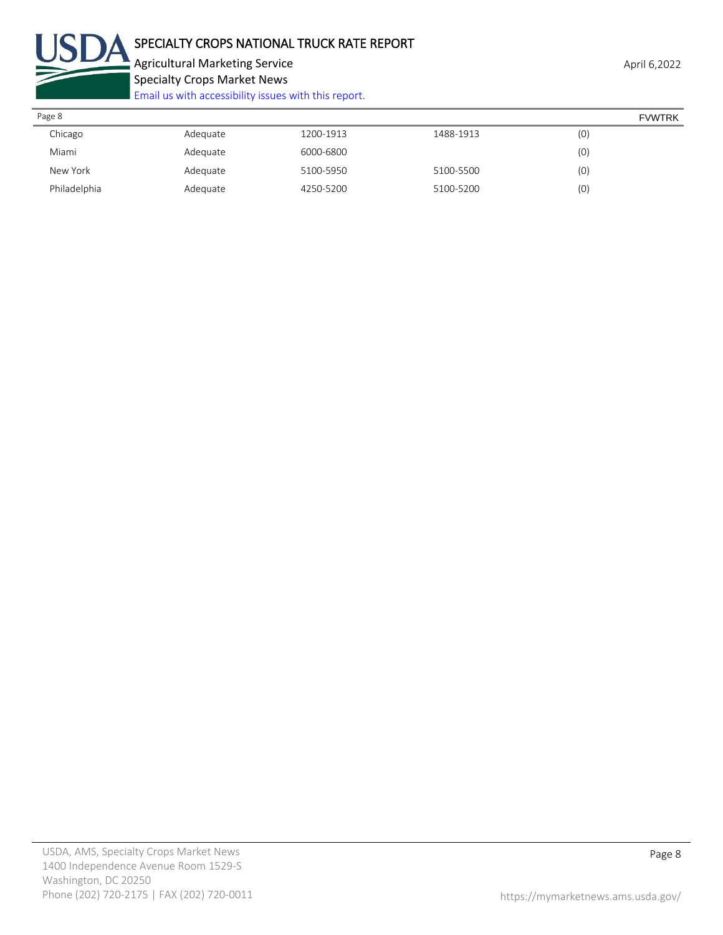

Agricultural Marketing Service **April 6,2022** April 6,2022 Specialty Crops Market News

[Email us with accessibility issues with this report.](mailto:mars@ams.usda.gov?subject=508%20Inquiry/Report)

| April 6 |
|---------|
|---------|

| Page 8       |          |           |           |     | <b>FVWTRK</b> |
|--------------|----------|-----------|-----------|-----|---------------|
| Chicago      | Adequate | 1200-1913 | 1488-1913 | (0) |               |
| Miami        | Adequate | 6000-6800 |           | (0) |               |
| New York     | Adequate | 5100-5950 | 5100-5500 | (0) |               |
| Philadelphia | Adequate | 4250-5200 | 5100-5200 | (0) |               |